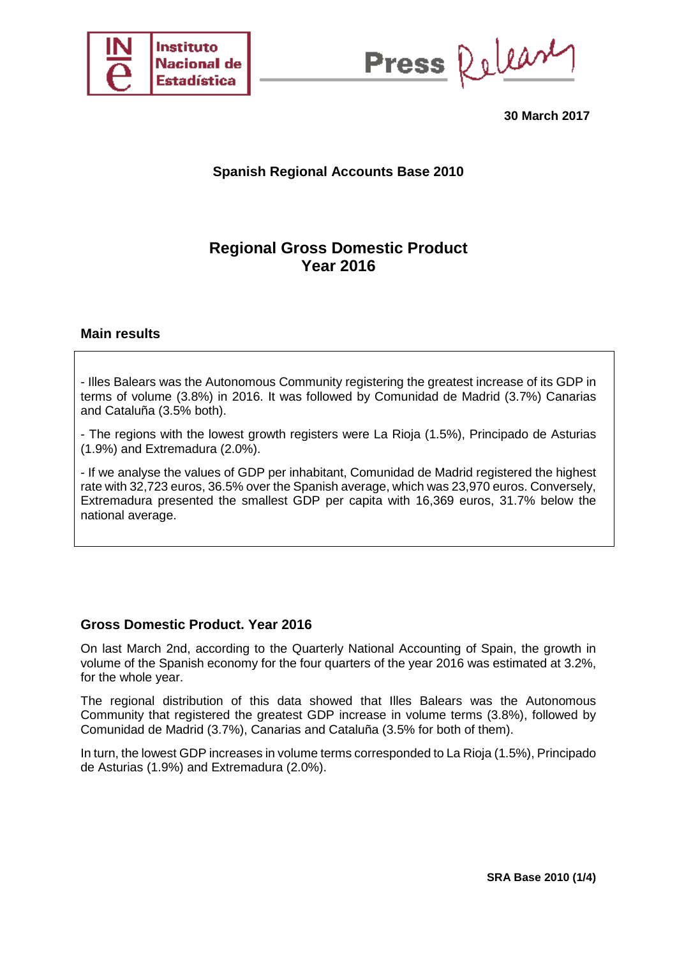

Press Release

**30 March 2017**

# **Spanish Regional Accounts Base 2010**

# **Regional Gross Domestic Product Year 2016**

### **Main results**

- Illes Balears was the Autonomous Community registering the greatest increase of its GDP in terms of volume (3.8%) in 2016. It was followed by Comunidad de Madrid (3.7%) Canarias and Cataluña (3.5% both).

- The regions with the lowest growth registers were La Rioja (1.5%), Principado de Asturias (1.9%) and Extremadura (2.0%).

- If we analyse the values of GDP per inhabitant, Comunidad de Madrid registered the highest rate with 32,723 euros, 36.5% over the Spanish average, which was 23,970 euros. Conversely, Extremadura presented the smallest GDP per capita with 16,369 euros, 31.7% below the national average.

### **Gross Domestic Product. Year 2016**

On last March 2nd, according to the Quarterly National Accounting of Spain, the growth in volume of the Spanish economy for the four quarters of the year 2016 was estimated at 3.2%, for the whole year.

The regional distribution of this data showed that Illes Balears was the Autonomous Community that registered the greatest GDP increase in volume terms (3.8%), followed by Comunidad de Madrid (3.7%), Canarias and Cataluña (3.5% for both of them).

In turn, the lowest GDP increases in volume terms corresponded to La Rioja (1.5%), Principado de Asturias (1.9%) and Extremadura (2.0%).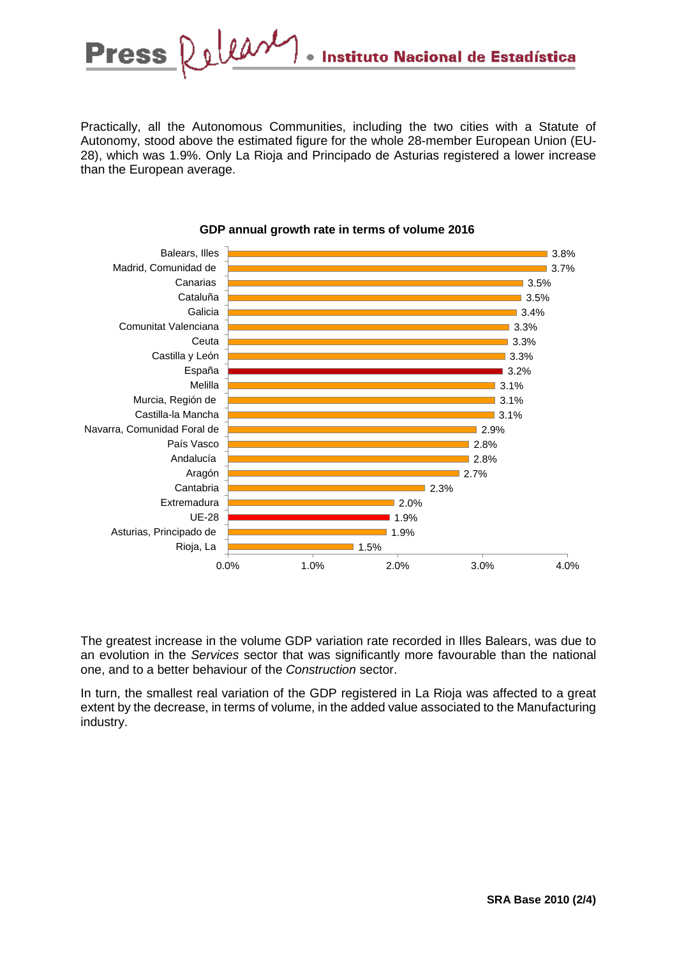

Practically, all the Autonomous Communities, including the two cities with a Statute of Autonomy, stood above the estimated figure for the whole 28-member European Union (EU-28), which was 1.9%. Only La Rioja and Principado de Asturias registered a lower increase than the European average.



#### **GDP annual growth rate in terms of volume 2016**

The greatest increase in the volume GDP variation rate recorded in Illes Balears, was due to an evolution in the *Services* sector that was significantly more favourable than the national one, and to a better behaviour of the *Construction* sector.

In turn, the smallest real variation of the GDP registered in La Rioja was affected to a great extent by the decrease, in terms of volume, in the added value associated to the Manufacturing industry.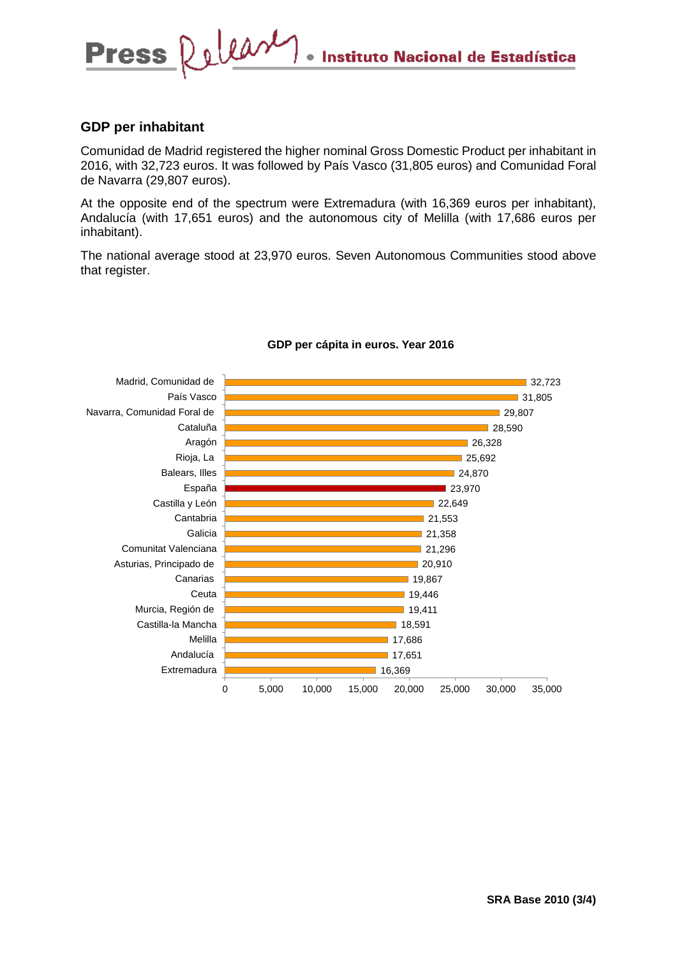## **GDP per inhabitant**

Comunidad de Madrid registered the higher nominal Gross Domestic Product per inhabitant in 2016, with 32,723 euros. It was followed by País Vasco (31,805 euros) and Comunidad Foral de Navarra (29,807 euros).

At the opposite end of the spectrum were Extremadura (with 16,369 euros per inhabitant), Andalucía (with 17,651 euros) and the autonomous city of Melilla (with 17,686 euros per inhabitant).

The national average stood at 23,970 euros. Seven Autonomous Communities stood above that register.



#### **GDP per cápita in euros. Year 2016**